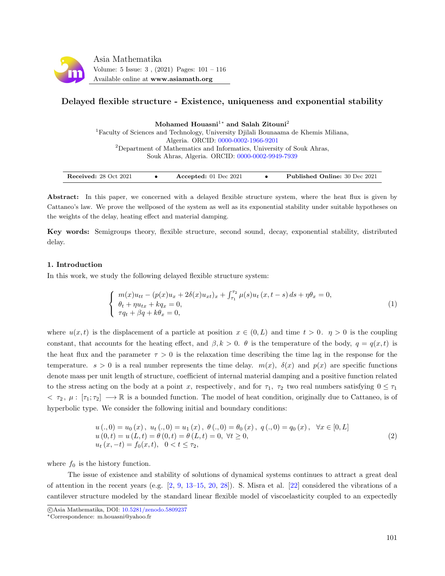

# Delayed flexible structure - Existence, uniqueness and exponential stability

Mohamed Houasni<sup>1</sup><sup>∗</sup> and Salah Zitouni<sup>2</sup>

<sup>1</sup>Faculty of Sciences and Technology, University Djilali Bounaama de Khemis Miliana, Algeria. ORCID: [0000-0002-1966-9201](https://orcid.org/0000-0002-1966-9201)  $2$ Department of Mathematics and Informatics, University of Souk Ahras, Souk Ahras, Algeria. ORCID: [0000-0002-9949-7939](https://orcid.org/0000-0002-9949-7939)

| <b>Received: 28 Oct 2021</b> |  | Accepted: $01$ Dec $2021$ |  | <b>Published Online: 30 Dec 2021</b> |
|------------------------------|--|---------------------------|--|--------------------------------------|
|------------------------------|--|---------------------------|--|--------------------------------------|

Abstract: In this paper, we concerned with a delayed flexible structure system, where the heat flux is given by Cattaneo's law. We prove the wellposed of the system as well as its exponential stability under suitable hypotheses on the weights of the delay, heating effect and material damping.

Key words: Semigroups theory, flexible structure, second sound, decay, exponential stability, distributed delay.

## 1. Introduction

In this work, we study the following delayed flexible structure system:

<span id="page-0-0"></span>
$$
\begin{cases}\n m(x)u_{tt} - (p(x)u_x + 2\delta(x)u_{xt})_x + \int_{\tau_1}^{\tau_2} \mu(s)u_t(x, t - s) ds + \eta \theta_x = 0, \\
 \theta_t + \eta u_{tx} + kq_x = 0, \\
 \tau q_t + \beta q + k \theta_x = 0,\n\end{cases}
$$
\n(1)

where  $u(x, t)$  is the displacement of a particle at position  $x \in (0, L)$  and time  $t > 0$ .  $\eta > 0$  is the coupling constant, that accounts for the heating effect, and  $\beta, k > 0$ .  $\theta$  is the temperature of the body,  $q = q(x, t)$  is the heat flux and the parameter  $\tau > 0$  is the relaxation time describing the time lag in the response for the temperature.  $s > 0$  is a real number represents the time delay.  $m(x)$ ,  $\delta(x)$  and  $p(x)$  are specific functions denote mass per unit length of structure, coefficient of internal material damping and a positive function related to the stress acting on the body at a point x, respectively, and for  $\tau_1$ ,  $\tau_2$  two real numbers satisfying  $0 \leq \tau_1$  $\langle \tau_2, \mu : [\tau_1; \tau_2] \longrightarrow \mathbb{R}$  is a bounded function. The model of heat condition, originally due to Cattaneo, is of hyperbolic type. We consider the following initial and boundary conditions:

<span id="page-0-1"></span>
$$
u(.,0) = u_0(x), u_t(.,0) = u_1(x), \theta(.,0) = \theta_0(x), q(.,0) = q_0(x), \forall x \in [0,L]
$$
  
\n
$$
u(0,t) = u(L,t) = \theta(0,t) = \theta(L,t) = 0, \forall t \ge 0,
$$
  
\n
$$
u_t(x,-t) = f_0(x,t), 0 < t \le \tau_2,
$$
\n(2)

where  $f_0$  is the history function.

The issue of existence and stability of solutions of dynamical systems continues to attract a great deal of attention in the recent years (e.g.  $[2, 9, 13-15, 20, 28]$  $[2, 9, 13-15, 20, 28]$  $[2, 9, 13-15, 20, 28]$  $[2, 9, 13-15, 20, 28]$  $[2, 9, 13-15, 20, 28]$  $[2, 9, 13-15, 20, 28]$  $[2, 9, 13-15, 20, 28]$  $[2, 9, 13-15, 20, 28]$  $[2, 9, 13-15, 20, 28]$ ). S. Misra et al.  $[22]$  considered the vibrations of a cantilever structure modeled by the standard linear flexible model of viscoelasticity coupled to an expectedly

c Asia Mathematika, DOI: [10.5281/zenodo.5809237](http://www.asiamath.org/article/vol5iss3/AM-2112-3008.pdf)

<sup>∗</sup>Correspondence: m.houasni@yahoo.fr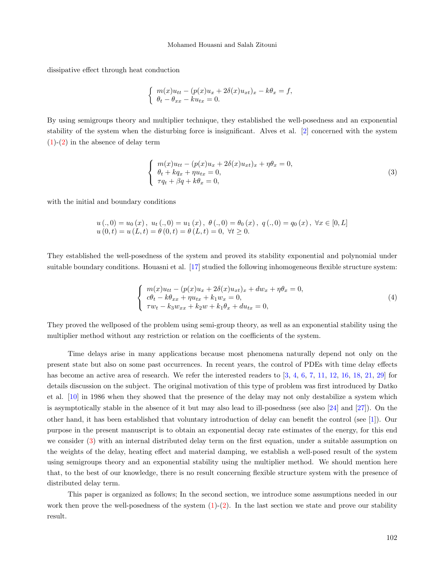dissipative effect through heat conduction

$$
\begin{cases}\n m(x)u_{tt} - (p(x)u_x + 2\delta(x)u_{xt})_x - k\theta_x = f, \\
 \theta_t - \theta_{xx} - ku_{tx} = 0.\n\end{cases}
$$

By using semigroups theory and multiplier technique, they established the well-posedness and an exponential stability of the system when the disturbing force is insignificant. Alves et al. [\[2\]](#page-14-0) concerned with the system  $(1)-(2)$  $(1)-(2)$  $(1)-(2)$  in the absence of delay term

<span id="page-1-0"></span>
$$
\begin{cases}\n m(x)u_{tt} - (p(x)u_x + 2\delta(x)u_{xt})_x + \eta \theta_x = 0, \\
 \theta_t + kq_x + \eta u_{tx} = 0, \\
 \tau q_t + \beta q + k\theta_x = 0,\n\end{cases}
$$
\n(3)

with the initial and boundary conditions

$$
u(.0) = u_0(x), u_t(.0) = u_1(x), \theta(.0) = \theta_0(x), q(.0) = q_0(x), \forall x \in [0, L]
$$
  

$$
u(0,t) = u(L,t) = \theta(0,t) = \theta(L,t) = 0, \forall t \ge 0.
$$

They established the well-posedness of the system and proved its stability exponential and polynomial under suitable boundary conditions. Houasni et al. [\[17\]](#page-15-3) studied the following inhomogeneous flexible structure system:

$$
\begin{cases}\n m(x)u_{tt} - (p(x)u_x + 2\delta(x)u_{xt})_x + dw_x + \eta \theta_x = 0, \\
 c\theta_t - k\theta_{xx} + \eta u_{tx} + k_1 w_x = 0, \\
 \tau w_t - k_3 w_{xx} + k_2 w + k_1 \theta_x + du_{tx} = 0,\n\end{cases}
$$
\n(4)

They proved the wellposed of the problem using semi-group theory, as well as an exponential stability using the multiplier method without any restriction or relation on the coefficients of the system.

Time delays arise in many applications because most phenomena naturally depend not only on the present state but also on some past occurrences. In recent years, the control of PDEs with time delay effects has become an active area of research. We refer the interested readers to  $\left[3, 4, 6, 7, 11, 12, 16, 18, 21, 29\right]$  $\left[3, 4, 6, 7, 11, 12, 16, 18, 21, 29\right]$  $\left[3, 4, 6, 7, 11, 12, 16, 18, 21, 29\right]$  $\left[3, 4, 6, 7, 11, 12, 16, 18, 21, 29\right]$  $\left[3, 4, 6, 7, 11, 12, 16, 18, 21, 29\right]$  $\left[3, 4, 6, 7, 11, 12, 16, 18, 21, 29\right]$  $\left[3, 4, 6, 7, 11, 12, 16, 18, 21, 29\right]$  $\left[3, 4, 6, 7, 11, 12, 16, 18, 21, 29\right]$  $\left[3, 4, 6, 7, 11, 12, 16, 18, 21, 29\right]$  $\left[3, 4, 6, 7, 11, 12, 16, 18, 21, 29\right]$  $\left[3, 4, 6, 7, 11, 12, 16, 18, 21, 29\right]$  $\left[3, 4, 6, 7, 11, 12, 16, 18, 21, 29\right]$  $\left[3, 4, 6, 7, 11, 12, 16, 18, 21, 29\right]$  $\left[3, 4, 6, 7, 11, 12, 16, 18, 21, 29\right]$  $\left[3, 4, 6, 7, 11, 12, 16, 18, 21, 29\right]$  $\left[3, 4, 6, 7, 11, 12, 16, 18, 21, 29\right]$  $\left[3, 4, 6, 7, 11, 12, 16, 18, 21, 29\right]$  $\left[3, 4, 6, 7, 11, 12, 16, 18, 21, 29\right]$  $\left[3, 4, 6, 7, 11, 12, 16, 18, 21, 29\right]$  for details discussion on the subject. The original motivation of this type of problem was first introduced by Datko et al. [\[10\]](#page-14-11) in 1986 when they showed that the presence of the delay may not only destabilize a system which is asymptotically stable in the absence of it but may also lead to ill-posedness (see also [\[24\]](#page-15-7) and [\[27\]](#page-15-8)). On the other hand, it has been established that voluntary introduction of delay can benefit the control (see [\[1\]](#page-14-12)). Our purpose in the present manuscript is to obtain an exponential decay rate estimates of the energy, for this end we consider [\(3\)](#page-1-0) with an internal distributed delay term on the first equation, under a suitable assumption on the weights of the delay, heating effect and material damping, we establish a well-posed result of the system using semigroups theory and an exponential stability using the multiplier method. We should mention here that, to the best of our knowledge, there is no result concerning flexible structure system with the presence of distributed delay term.

This paper is organized as follows; In the second section, we introduce some assumptions needed in our work then prove the well-posedness of the system  $(1)-(2)$  $(1)-(2)$  $(1)-(2)$ . In the last section we state and prove our stability result.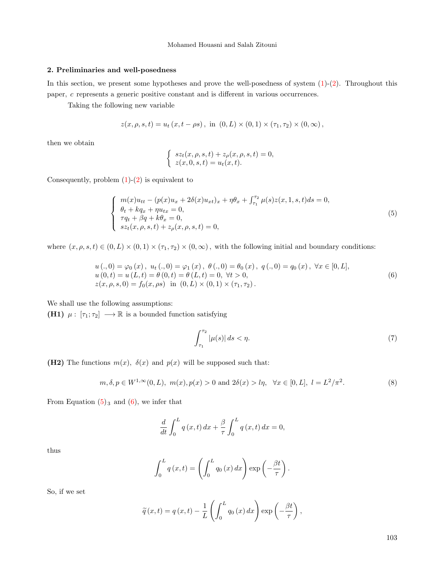## 2. Preliminaries and well-posedness

In this section, we present some hypotheses and prove the well-posedness of system  $(1)-(2)$  $(1)-(2)$  $(1)-(2)$ . Throughout this paper, c represents a generic positive constant and is different in various occurrences.

Taking the following new variable

$$
z(x, \rho, s, t) = u_t(x, t - \rho s), \text{ in } (0, L) \times (0, 1) \times (\tau_1, \tau_2) \times (0, \infty),
$$

then we obtain

<span id="page-2-0"></span>
$$
\begin{cases}\nsz_t(x, \rho, s, t) + z_\rho(x, \rho, s, t) = 0, \\
z(x, 0, s, t) = u_t(x, t).\n\end{cases}
$$

Consequently, problem  $(1)-(2)$  $(1)-(2)$  $(1)-(2)$  is equivalent to

$$
\begin{cases}\n m(x)u_{tt} - (p(x)u_x + 2\delta(x)u_{xt})_x + \eta \theta_x + \int_{\tau_1}^{\tau_2} \mu(s)z(x, 1, s, t)ds = 0, \\
 \theta_t + kq_x + \eta u_{tx} = 0, \\
 \tau q_t + \beta q + k\theta_x = 0, \\
 sz_t(x, \rho, s, t) + z_\rho(x, \rho, s, t) = 0,\n\end{cases}
$$
\n(5)

where  $(x, \rho, s, t) \in (0, L) \times (0, 1) \times (\tau_1, \tau_2) \times (0, \infty)$ , with the following initial and boundary conditions:

$$
u(.0) = \varphi_0(x), u_t(.0) = \varphi_1(x), \theta(.0) = \theta_0(x), q(.0) = q_0(x), \forall x \in [0, L],
$$
  
\n
$$
u(0,t) = u(L,t) = \theta(0,t) = \theta(L,t) = 0, \forall t > 0,
$$
  
\n
$$
z(x,\rho,s,0) = f_0(x,\rho s) \text{ in } (0,L) \times (0,1) \times (\tau_1, \tau_2).
$$
\n(6)

We shall use the following assumptions:

(H1)  $\mu : [\tau_1; \tau_2] \longrightarrow \mathbb{R}$  is a bounded function satisfying

<span id="page-2-2"></span><span id="page-2-1"></span>
$$
\int_{\tau_1}^{\tau_2} |\mu(s)| \, ds < \eta. \tag{7}
$$

(H2) The functions  $m(x)$ ,  $\delta(x)$  and  $p(x)$  will be supposed such that:

$$
m, \delta, p \in W^{1,\infty}(0, L), m(x), p(x) > 0 \text{ and } 2\delta(x) > l\eta, \forall x \in [0, L], l = L^2/\pi^2.
$$
 (8)

From Equation  $(5)_3$  $(5)_3$  and  $(6)$ , we infer that

$$
\frac{d}{dt} \int_0^L q(x,t) dx + \frac{\beta}{\tau} \int_0^L q(x,t) dx = 0,
$$

thus

$$
\int_0^L q(x,t) = \left(\int_0^L q_0(x) dx\right) \exp\left(-\frac{\beta t}{\tau}\right).
$$

So, if we set

$$
\widetilde{q}(x,t) = q(x,t) - \frac{1}{L} \left( \int_0^L q_0(x) dx \right) \exp \left( -\frac{\beta t}{\tau} \right),
$$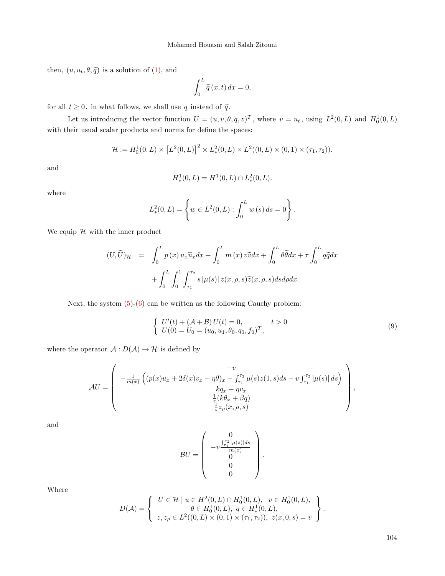then,  $(u, u_t, \theta, \tilde{q})$  is a solution of [\(1\)](#page-0-0), and

$$
\int_0^L \widetilde{q}(x,t) \, dx = 0,
$$

for all  $t \geq 0$ . in what follows, we shall use  $q$  instead of  $\widetilde{q}$ .

Let us introducing the vector function  $U = (u, v, \theta, q, z)^T$ , where  $v = u_t$ , using  $L^2(0, L)$  and  $H_0^1(0, L)$ with their usual scalar products and norms for define the spaces:

$$
\mathcal{H} := H_0^1(0, L) \times [L^2(0, L)]^2 \times L^2_*(0, L) \times L^2((0, L) \times (0, 1) \times (\tau_1, \tau_2)).
$$

and

$$
H_*^1(0,L) = H^1(0,L) \cap L_*^2(0,L).
$$

where

$$
L^2_*(0,L) = \left\{ w \in L^2(0,L) : \int_0^L w(s) \, ds = 0 \right\}.
$$

We equip  $H$  with the inner product

$$
(U, \widetilde{U})_{\mathcal{H}} = \int_0^L p(x) u_x \widetilde{u}_x dx + \int_0^L m(x) v \widetilde{v} dx + \int_0^L \theta \widetilde{\theta} dx + \tau \int_0^L q \widetilde{q} dx
$$

$$
+ \int_0^L \int_0^1 \int_{\tau_1}^{\tau_2} s |\mu(s)| z(x, \rho, s) \widetilde{z}(x, \rho, s) ds d\rho dx.
$$

Next, the system  $(5)-(6)$  $(5)-(6)$  $(5)-(6)$  can be written as the following Cauchy problem:

<span id="page-3-0"></span>
$$
\begin{cases}\nU'(t) + (\mathcal{A} + \mathcal{B})U(t) = 0, & t > 0 \\
U(0) = U_0 = (u_0, u_1, \theta_0, q_0, f_0)^T,\n\end{cases}
$$
\n(9)

where the operator  $\mathcal{A}: D(\mathcal{A}) \to \mathcal{H}$  is defined by

$$
\mathcal{A}U = \begin{pmatrix} -v \\ -\frac{1}{m(x)} \left( (p(x)u_x + 2\delta(x)v_x - \eta \theta)_x - \int_{\tau_1}^{\tau_2} \mu(s)z(1,s)ds - v \int_{\tau_1}^{\tau_2} |\mu(s)| ds \right) \\ kq_x + \eta v_x \\ \frac{1}{\tau_1} (k\theta_x + \beta q) \\ \frac{1}{s} z_\rho(x,\rho,s) \end{pmatrix},
$$

and

$$
BU = \begin{pmatrix} 0 \\ -v \frac{\int_{\tau_1}^{\tau_2} |\mu(s)| ds}{m(x)} \\ 0 \\ 0 \end{pmatrix}.
$$

Where

$$
D(\mathcal{A}) = \left\{ \begin{array}{l} U \in \mathcal{H} \mid u \in H^2(0, L) \cap H_0^1(0, L), \quad v \in H_0^1(0, L), \\ \theta \in H_0^1(0, L), \quad q \in H_*^1(0, L), \\ z, z_\rho \in L^2((0, L) \times (0, 1) \times (\tau_1, \tau_2)), \ z(x, 0, s) = v \end{array} \right\}
$$

104

.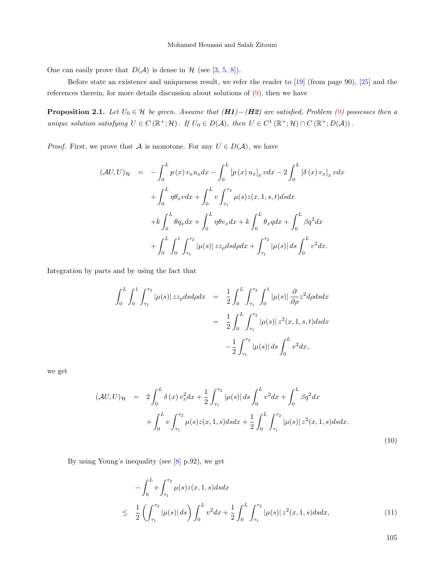One can easily prove that  $D(\mathcal{A})$  is dense in  $\mathcal{H}$  (see [\[3,](#page-14-4) [5,](#page-14-13) [8\]](#page-14-14)).

Before state an existence and uniqueness result, we refer the reader to [\[19\]](#page-15-9) (from page 90), [\[25\]](#page-15-10) and the references therein, for more details discussion about solutions of [\(9\)](#page-3-0), then we have

<span id="page-4-1"></span>**Proposition 2.1.** Let  $U_0 \in \mathcal{H}$  be given. Assume that  $(H1)-(H2)$  are satisfied, Problem [\(9\)](#page-3-0) possesses then a unique solution satisfying  $U \in C(\mathbb{R}^+;\mathcal{H})$ . If  $U_0 \in D(\mathcal{A})$ , then  $U \in C^1(\mathbb{R}^+;\mathcal{H}) \cap C(\mathbb{R}^+;D(\mathcal{A}))$ .

*Proof.* First, we prove that A is monotone. For any  $U \in D(\mathcal{A})$ , we have

$$
(\mathcal{A}U, U)_{\mathcal{H}} = -\int_{0}^{L} p(x) v_x u_x dx - \int_{0}^{L} [p(x) u_x]_x v dx - 2 \int_{0}^{L} [\delta(x) v_x]_x v dx + \int_{0}^{L} \eta \theta_x v dx + \int_{0}^{L} v \int_{\tau_1}^{\tau_2} \mu(s) z(x, 1, s, t) ds dx + k \int_{0}^{L} \theta q_x dx + \int_{0}^{L} \eta \theta v_x dx + k \int_{0}^{L} \theta_x q dx + \int_{0}^{L} \beta q^2 dx + \int_{0}^{L} \int_{0}^{1} \int_{\tau_1}^{\tau_2} |\mu(s)| z z_{\rho} ds d\rho dx + \int_{\tau_1}^{\tau_2} |\mu(s)| ds \int_{0}^{L} v^2 dx.
$$

Integration by parts and by using the fact that

$$
\int_{0}^{L} \int_{0}^{1} \int_{\tau_{1}}^{\tau_{2}} |\mu(s)| z z_{\rho} ds d\rho dx = \frac{1}{2} \int_{0}^{L} \int_{\tau_{1}}^{\tau_{2}} \int_{0}^{1} |\mu(s)| \frac{\partial}{\partial \rho} z^{2} d\rho ds dx
$$

$$
= \frac{1}{2} \int_{0}^{L} \int_{\tau_{1}}^{\tau_{2}} |\mu(s)| z^{2}(x, 1, s, t) ds dx
$$

$$
- \frac{1}{2} \int_{\tau_{1}}^{\tau_{2}} |\mu(s)| ds \int_{0}^{L} v^{2} dx,
$$

we get

<span id="page-4-0"></span>
$$
(\mathcal{A}U, U)_{\mathcal{H}} = 2 \int_0^L \delta(x) v_x^2 dx + \frac{1}{2} \int_{\tau_1}^{\tau_2} |\mu(s)| ds \int_0^L v^2 dx + \int_0^L \beta q^2 dx + \int_0^L v \int_{\tau_1}^{\tau_2} \mu(s) z(x, 1, s) ds dx + \frac{1}{2} \int_0^L \int_{\tau_1}^{\tau_2} |\mu(s)| z^2(x, 1, s) ds dx.
$$
\n(10)

By using Young's inequality (see [\[8\]](#page-14-14) p.92), we get

$$
-\int_{0}^{L} v \int_{\tau_1}^{\tau_2} \mu(s) z(x, 1, s) ds dx
$$
  

$$
\leq \frac{1}{2} \left( \int_{\tau_1}^{\tau_2} |\mu(s)| ds \right) \int_{0}^{L} v^2 dx + \frac{1}{2} \int_{0}^{L} \int_{\tau_1}^{\tau_2} |\mu(s)| z^2(x, 1, s) ds dx, \tag{11}
$$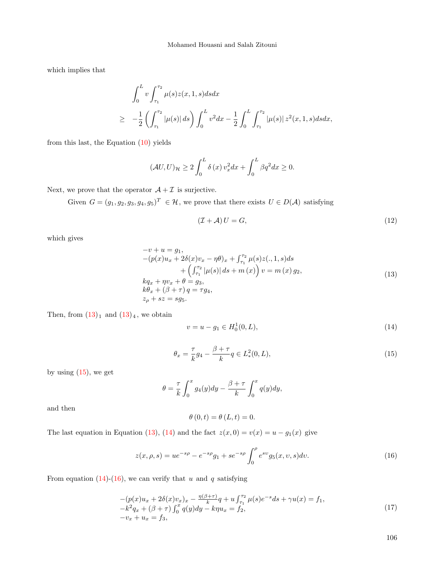which implies that

$$
\int_0^L v \int_{\tau_1}^{\tau_2} \mu(s) z(x, 1, s) ds dx
$$
\n
$$
\geq -\frac{1}{2} \left( \int_{\tau_1}^{\tau_2} |\mu(s)| ds \right) \int_0^L v^2 dx - \frac{1}{2} \int_0^L \int_{\tau_1}^{\tau_2} |\mu(s)| z^2(x, 1, s) ds dx,
$$

from this last, the Equation  $(10)$  yields

$$
(\mathcal{A}U, U)_{\mathcal{H}} \ge 2 \int_0^L \delta(x) v_x^2 dx + \int_0^L \beta q^2 dx \ge 0.
$$

Next, we prove that the operator  $A + \mathcal{I}$  is surjective.

<span id="page-5-0"></span>Given  $G = (g_1, g_2, g_3, g_4, g_5)^T \in \mathcal{H}$ , we prove that there exists  $U \in D(\mathcal{A})$  satisfying

$$
(\mathcal{I} + \mathcal{A}) U = G,\tag{12}
$$

which gives

$$
-v + u = g_1,-(p(x)u_x + 2\delta(x)v_x - \eta\theta)_x + \int_{\tau_1}^{\tau_2} \mu(s)z(., 1, s)ds+ \left(\int_{\tau_1}^{\tau_2} |\mu(s)| ds + m(x)\right)v = m(x) g_2,kq_x + \eta v_x + \theta = g_3,k\theta_x + (\beta + \tau)q = \tau g_4,z_\rho + sz = sg_5.
$$
 (13)

<span id="page-5-1"></span>Then, from  $(13)_1$  $(13)_1$  and  $(13)_4$ , we obtain

<span id="page-5-2"></span>
$$
v = u - g_1 \in H_0^1(0, L), \tag{14}
$$

$$
\theta_x = \frac{\tau}{k} g_4 - \frac{\beta + \tau}{k} q \in L^2_*(0, L),\tag{15}
$$

by using  $(15)$ , we get

$$
\theta = \frac{\tau}{k} \int_0^x g_4(y) dy - \frac{\beta + \tau}{k} \int_0^x q(y) dy,
$$

and then

<span id="page-5-4"></span><span id="page-5-3"></span>
$$
\theta(0,t) = \theta(L,t) = 0.
$$

The last equation in Equation [\(13\)](#page-5-0), [\(14\)](#page-5-2) and the fact  $z(x, 0) = v(x) = u - g_1(x)$  give

$$
z(x, \rho, s) = ue^{-s\rho} - e^{-s\rho}g_1 + se^{-s\rho} \int_0^\rho e^{sv} g_5(x, v, s) dv.
$$
 (16)

From equation [\(14\)](#page-5-2)-[\(16\)](#page-5-3), we can verify that u and q satisfying

$$
-(p(x)u_x + 2\delta(x)v_x)_x - \frac{\eta(\beta + \tau)}{k}q + u\int_{\tau_1}^{\tau_2} \mu(s)e^{-s}ds + \gamma u(x) = f_1, -k^2q_x + (\beta + \tau)\int_0^x q(y)dy - k\eta u_x = f_2, -v_x + u_x = f_3,
$$
\n(17)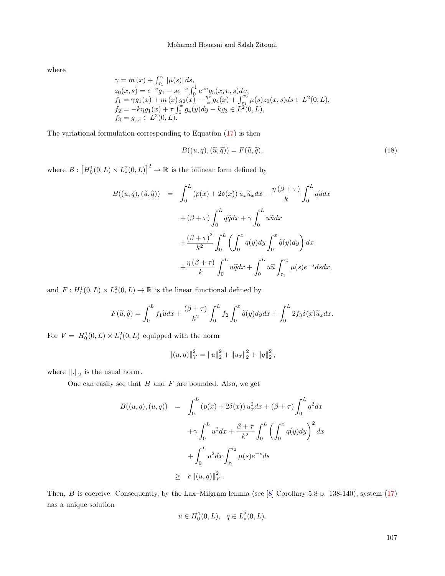where

$$
\begin{array}{l} \gamma =m\left( x\right) +\int_{\tau _{1}}^{\tau _{2}}\left| \mu (s)\right| ds,\\ z_{0}(x,s)=e^{-s}g_{1}-se^{-s}\int_{0}^{1}e^{sv}g_{5}(x,v,s)dv,\\ f_{1}=\gamma g_{1}(x)+m\left( x\right) g_{2}(x)-\frac{\eta \tau }{k}g_{4}(x)+\int_{\tau _{1}}^{\tau _{2}}\mu (s)z_{0}(x,s)ds\in L^{2}(0,L),\\ f_{2}=-k\eta g_{1}(x)+\tau \int_{0}^{x}g_{4}(y)dy-kg_{3}\in L^{2}(0,L),\\ f_{3}=g_{1x}\in L^{2}(0,L).\end{array}
$$

The variational formulation corresponding to Equation [\(17\)](#page-5-4) is then

<span id="page-6-0"></span>
$$
B((u,q),(\widetilde{u},\widetilde{q})) = F(\widetilde{u},\widetilde{q}),\tag{18}
$$

where  $B: [H_0^1(0,L) \times L_*^2(0,L)]^2 \to \mathbb{R}$  is the bilinear form defined by

$$
B((u, q), (\tilde{u}, \tilde{q})) = \int_0^L (p(x) + 2\delta(x)) u_x \tilde{u}_x dx - \frac{\eta(\beta + \tau)}{k} \int_0^L q \tilde{u} dx
$$
  
+  $(\beta + \tau) \int_0^L q \tilde{q} dx + \gamma \int_0^L u \tilde{u} dx$   
+  $\frac{(\beta + \tau)^2}{k^2} \int_0^L \left( \int_0^x q(y) dy \int_0^x \tilde{q}(y) dy \right) dx$   
+  $\frac{\eta(\beta + \tau)}{k} \int_0^L u \tilde{q} dx + \int_0^L u \tilde{u} \int_{\tau_1}^{\tau_2} \mu(s) e^{-s} ds dx,$ 

and  $F: H_0^1(0,L) \times L_*^2(0,L) \to \mathbb{R}$  is the linear functional defined by

$$
F(\widetilde{u}, \widetilde{q}) = \int_0^L f_1 \widetilde{u} dx + \frac{(\beta + \tau)}{k^2} \int_0^L f_2 \int_0^x \widetilde{q}(y) dy dx + \int_0^L 2 f_3 \delta(x) \widetilde{u}_x dx.
$$

For  $V = H_0^1(0, L) \times L_*^2(0, L)$  equipped with the norm

$$
||(u, q)||_V^2 = ||u||_2^2 + ||u_x||_2^2 + ||q||_2^2,
$$

where  $\|.\|_{2}$  is the usual norm.

One can easily see that  $B$  and  $F$  are bounded. Also, we get

$$
B((u, q), (u, q)) = \int_0^L (p(x) + 2\delta(x)) u_x^2 dx + (\beta + \tau) \int_0^L q^2 dx
$$
  

$$
+ \gamma \int_0^L u^2 dx + \frac{\beta + \tau}{k^2} \int_0^L \left( \int_0^x q(y) dy \right)^2 dx
$$
  

$$
+ \int_0^L u^2 dx \int_{\tau_1}^{\tau_2} \mu(s) e^{-s} ds
$$
  

$$
\geq c ||(u, q)||_V^2.
$$

Then, B is coercive. Consequently, by the Lax–Milgram lemma (see [\[8\]](#page-14-14) Corollary 5.8 p. 138-140), system [\(17\)](#page-5-4) has a unique solution

$$
u \in H_0^1(0, L), \quad q \in L^2_*(0, L).
$$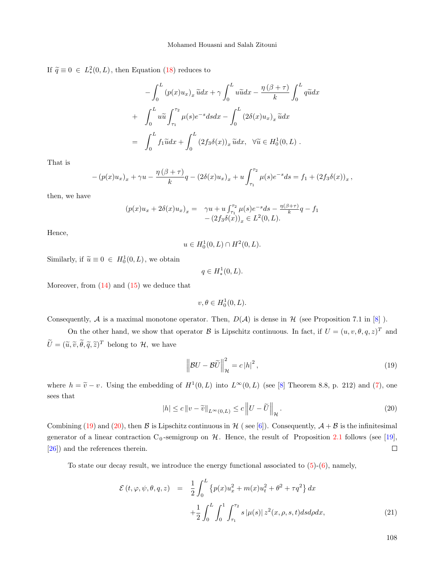If  $\tilde{q} \equiv 0 \in L^2_*(0, L)$ , then Equation [\(18\)](#page-6-0) reduces to

$$
-\int_0^L (p(x)u_x)_x \tilde{u} dx + \gamma \int_0^L u \tilde{u} dx - \frac{\eta(\beta + \tau)}{k} \int_0^L q \tilde{u} dx
$$

$$
+ \int_0^L u \tilde{u} \int_{\tau_1}^{\tau_2} \mu(s) e^{-s} ds dx - \int_0^L (2\delta(x)u_x)_x \tilde{u} dx
$$

$$
= \int_0^L f_1 \tilde{u} dx + \int_0^L (2f_3 \delta(x))_x \tilde{u} dx, \quad \forall \tilde{u} \in H_0^1(0, L) .
$$

That is

$$
-(p(x)u_x)_x + \gamma u - \frac{\eta(\beta + \tau)}{k}q - (2\delta(x)u_x)_x + u \int_{\tau_1}^{\tau_2} \mu(s)e^{-s}ds = f_1 + (2f_3\delta(x))_x,
$$

then, we have

$$
(p(x)u_x + 2\delta(x)u_x)_x = \gamma u + u \int_{\tau_1}^{\tau_2} \mu(s) e^{-s} ds - \frac{\eta(\beta + \tau)}{k} q - f_1
$$
  
 
$$
-(2f_3\delta(x))_x \in L^2(0, L).
$$

Hence,

$$
u \in H_0^1(0, L) \cap H^2(0, L).
$$

Similarly, if  $\tilde{u} \equiv 0 \in H_0^1(0, L)$ , we obtain

$$
q \in H^1_*(0, L).
$$

Moreover, from  $(14)$  and  $(15)$  we deduce that

$$
v, \theta \in H_0^1(0, L).
$$

Consequently, A is a maximal monotone operator. Then,  $D(A)$  is dense in H (see Proposition 7.1 in [\[8\]](#page-14-14)).

On the other hand, we show that operator B is Lipschitz continuous. In fact, if  $U = (u, v, \theta, q, z)^T$  and  $\widetilde{U} = (\widetilde{u}, \widetilde{v}, \widetilde{\theta}, \widetilde{q}, \widetilde{z})^T$  belong to  $\mathcal{H}$ , we have

<span id="page-7-0"></span>
$$
\left\|\mathcal{B}U - \mathcal{B}\widetilde{U}\right\|_{\mathcal{H}}^2 = c\left|h\right|^2,\tag{19}
$$

<span id="page-7-1"></span>where  $h = \tilde{v} - v$ . Using the embedding of  $H^1(0, L)$  into  $L^{\infty}(0, L)$  (see [\[8\]](#page-14-14) Theorem 8.8, p. 212) and [\(7\)](#page-2-2), one sees that

$$
|h| \le c \|v - \widetilde{v}\|_{L^{\infty}(0,L)} \le c \|U - \widetilde{U}\|_{\mathcal{H}}.
$$
\n
$$
(20)
$$

Combining [\(19\)](#page-7-0) and [\(20\)](#page-7-1), then B is Lipschitz continuous in H (see [\[6\]](#page-14-6)). Consequently,  $A + B$  is the infinitesimal generator of a linear contraction  $C_0$ -semigroup on  $H$ . Hence, the result of Proposition [2.1](#page-4-1) follows (see [\[19\]](#page-15-9),  $\Box$ [\[26\]](#page-15-11)) and the references therein.

To state our decay result, we introduce the energy functional associated to  $(5)-(6)$  $(5)-(6)$  $(5)-(6)$ , namely,

<span id="page-7-2"></span>
$$
\mathcal{E}(t, \varphi, \psi, \theta, q, z) = \frac{1}{2} \int_0^L \{p(x)u_x^2 + m(x)u_t^2 + \theta^2 + \tau q^2\} dx + \frac{1}{2} \int_0^L \int_0^1 \int_{\tau_1}^{\tau_2} s |\mu(s)| z^2(x, \rho, s, t) ds d\rho dx,
$$
\n(21)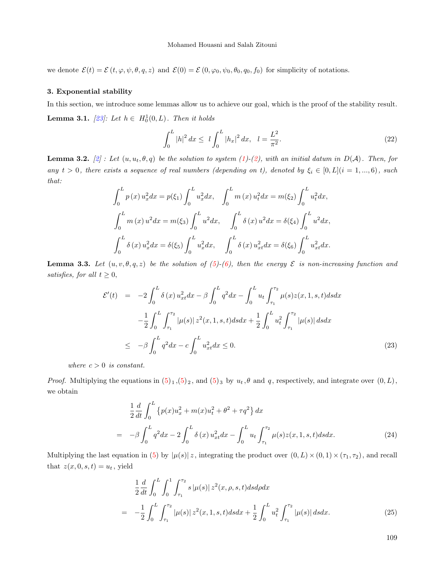we denote  $\mathcal{E}(t) = \mathcal{E}(t, \varphi, \psi, \theta, q, z)$  and  $\mathcal{E}(0) = \mathcal{E}(0, \varphi_0, \psi_0, \theta_0, q_0, f_0)$  for simplicity of notations.

#### 3. Exponential stability

In this section, we introduce some lemmas allow us to achieve our goal, which is the proof of the stability result. **Lemma 3.1.** [\[23\]](#page-15-12): Let  $h \in H_0^1(0,L)$ . Then it holds

<span id="page-8-3"></span>
$$
\int_0^L |h|^2 dx \le l \int_0^L |h_x|^2 dx, \quad l = \frac{L^2}{\pi^2}.
$$
\n(22)

<span id="page-8-2"></span>**Lemma 3.2.** [\[2\]](#page-14-0): Let  $(u, u_t, \theta, q)$  be the solution to system [\(1\)](#page-0-0)-[\(2\)](#page-0-1), with an initial datum in  $D(A)$ . Then, for any  $t > 0$ , there exists a sequence of real numbers (depending on t), denoted by  $\xi_i \in [0, L](i = 1, ..., 6)$ , such that:

$$
\int_0^L p(x) u_x^2 dx = p(\xi_1) \int_0^L u_x^2 dx, \quad \int_0^L m(x) u_t^2 dx = m(\xi_2) \int_0^L u_t^2 dx,
$$

$$
\int_0^L m(x) u^2 dx = m(\xi_3) \int_0^L u^2 dx, \quad \int_0^L \delta(x) u^2 dx = \delta(\xi_4) \int_0^L u^2 dx,
$$

$$
\int_0^L \delta(x) u_x^2 dx = \delta(\xi_5) \int_0^L u_x^2 dx, \quad \int_0^L \delta(x) u_x^2 dx = \delta(\xi_6) \int_0^L u_{xt}^2 dx.
$$

**Lemma 3.3.** Let  $(u, v, \theta, q, z)$  be the solution of [\(5\)](#page-2-0)-[\(6\)](#page-2-1), then the energy  $\mathcal E$  is non-increasing function and satisfies, for all  $t \geq 0$ ,

<span id="page-8-4"></span>
$$
\mathcal{E}'(t) = -2 \int_0^L \delta(x) u_{xt}^2 dx - \beta \int_0^L q^2 dx - \int_0^L u_t \int_{\tau_1}^{\tau_2} \mu(s) z(x, 1, s, t) ds dx
$$
  

$$
- \frac{1}{2} \int_0^L \int_{\tau_1}^{\tau_2} |\mu(s)| z^2(x, 1, s, t) ds dx + \frac{1}{2} \int_0^L u_t^2 \int_{\tau_1}^{\tau_2} |\mu(s)| ds dx
$$
  

$$
\leq -\beta \int_0^L q^2 dx - c \int_0^L u_{xt}^2 dx \leq 0.
$$
 (23)

where  $c > 0$  is constant.

*Proof.* Multiplying the equations in  $(5)_1$  $(5)_1$ ,  $(5)_2$ , and  $(5)_3$  by  $u_t$ ,  $\theta$  and  $q$ , respectively, and integrate over  $(0, L)$ , we obtain

<span id="page-8-0"></span>
$$
\frac{1}{2}\frac{d}{dt}\int_{0}^{L}\left\{p(x)u_{x}^{2}+m(x)u_{t}^{2}+\theta^{2}+\tau q^{2}\right\}dx
$$
\n
$$
=-\beta\int_{0}^{L}q^{2}dx-2\int_{0}^{L}\delta\left(x\right)u_{xt}^{2}dx-\int_{0}^{L}u_{t}\int_{\tau_{1}}^{\tau_{2}}\mu(s)z(x,1,s,t)dsdx.\tag{24}
$$

Multiplying the last equation in [\(5\)](#page-2-0) by  $|\mu(s)| z$ , integrating the product over  $(0, L) \times (0, 1) \times (\tau_1, \tau_2)$ , and recall that  $z(x, 0, s, t) = u_t$ , yield

<span id="page-8-1"></span>
$$
\frac{1}{2}\frac{d}{dt}\int_{0}^{L}\int_{0}^{1}\int_{\tau_{1}}^{\tau_{2}}s\left|\mu(s)\right|z^{2}(x,\rho,s,t)dsd\rho dx
$$
\n
$$
= -\frac{1}{2}\int_{0}^{L}\int_{\tau_{1}}^{\tau_{2}}\left|\mu(s)\right|z^{2}(x,1,s,t)dsdx + \frac{1}{2}\int_{0}^{L}u_{t}^{2}\int_{\tau_{1}}^{\tau_{2}}\left|\mu(s)\right|dsdx.
$$
\n(25)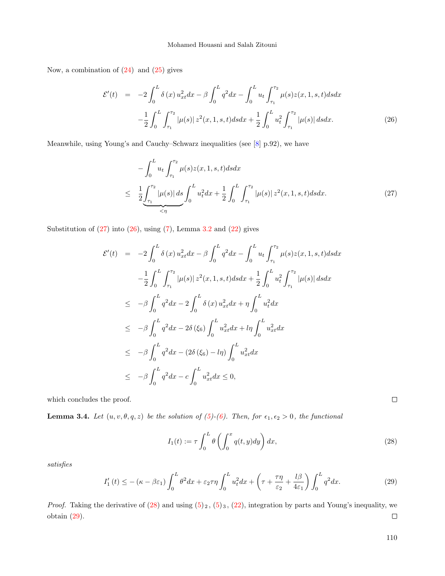Now, a combination of  $(24)$  and  $(25)$  gives

<span id="page-9-1"></span>
$$
\mathcal{E}'(t) = -2 \int_0^L \delta(x) u_{xt}^2 dx - \beta \int_0^L q^2 dx - \int_0^L u_t \int_{\tau_1}^{\tau_2} \mu(s) z(x, 1, s, t) ds dx
$$

$$
- \frac{1}{2} \int_0^L \int_{\tau_1}^{\tau_2} |\mu(s)| z^2(x, 1, s, t) ds dx + \frac{1}{2} \int_0^L u_t^2 \int_{\tau_1}^{\tau_2} |\mu(s)| ds dx. \tag{26}
$$

Meanwhile, using Young's and Cauchy–Schwarz inequalities (see [\[8\]](#page-14-14) p.92), we have

<span id="page-9-0"></span>
$$
-\int_{0}^{L} u_{t} \int_{\tau_{1}}^{\tau_{2}} \mu(s) z(x, 1, s, t) ds dx
$$
  

$$
\leq \frac{1}{2} \underbrace{\int_{\tau_{1}}^{\tau_{2}} |\mu(s)| ds}_{\tau_{1}} \int_{0}^{L} u_{t}^{2} dx + \frac{1}{2} \int_{0}^{L} \int_{\tau_{1}}^{\tau_{2}} |\mu(s)| z^{2}(x, 1, s, t) ds dx. \tag{27}
$$

Substitution of  $(27)$  into  $(26)$ , using  $(7)$ , Lemma [3.2](#page-8-2) and  $(22)$  gives

$$
\mathcal{E}'(t) = -2 \int_0^L \delta(x) u_{xt}^2 dx - \beta \int_0^L q^2 dx - \int_0^L u_t \int_{\tau_1}^{\tau_2} \mu(s) z(x, 1, s, t) ds dx
$$
  

$$
- \frac{1}{2} \int_0^L \int_{\tau_1}^{\tau_2} |\mu(s)| z^2(x, 1, s, t) ds dx + \frac{1}{2} \int_0^L u_t^2 \int_{\tau_1}^{\tau_2} |\mu(s)| ds dx
$$
  

$$
\leq -\beta \int_0^L q^2 dx - 2 \int_0^L \delta(x) u_{xt}^2 dx + \eta \int_0^L u_t^2 dx
$$
  

$$
\leq -\beta \int_0^L q^2 dx - 2\delta(\xi_6) \int_0^L u_{xt}^2 dx + \ln \int_0^L u_{xt}^2 dx
$$
  

$$
\leq -\beta \int_0^L q^2 dx - (2\delta(\xi_6) - \ln) \int_0^L u_{xt}^2 dx
$$
  

$$
\leq -\beta \int_0^L q^2 dx - c \int_0^L u_{xt}^2 dx \leq 0,
$$

which concludes the proof.

**Lemma 3.4.** Let  $(u, v, \theta, q, z)$  be the solution of  $(5)-(6)$  $(5)-(6)$  $(5)-(6)$ . Then, for  $\epsilon_1, \epsilon_2 > 0$ , the functional

$$
I_1(t) := \tau \int_0^L \theta \left( \int_0^x q(t, y) dy \right) dx, \tag{28}
$$

<span id="page-9-3"></span>satisfies

$$
I_1'(t) \le -(\kappa - \beta \varepsilon_1) \int_0^L \theta^2 dx + \varepsilon_2 \tau \eta \int_0^L u_t^2 dx + \left(\tau + \frac{\tau \eta}{\varepsilon_2} + \frac{l\beta}{4\varepsilon_1}\right) \int_0^L q^2 dx. \tag{29}
$$

*Proof.* Taking the derivative of  $(28)$  and using  $(5)_2$  $(5)_2$ ,  $(5)_3$ ,  $(22)$ , integration by parts and Young's inequality, we obtain [\(29\)](#page-9-3).  $\Box$ 

<span id="page-9-2"></span>110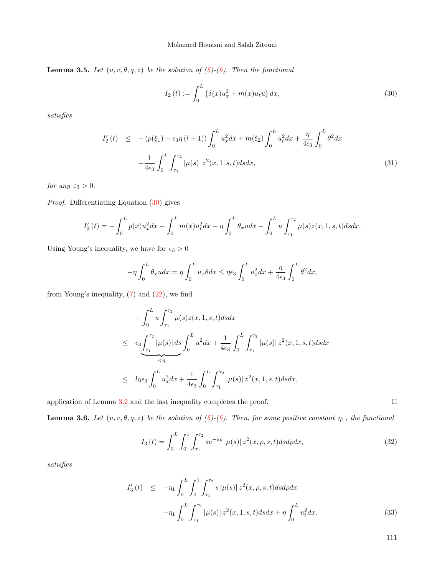**Lemma 3.5.** Let  $(u, v, \theta, q, z)$  be the solution of  $(5)-(6)$  $(5)-(6)$  $(5)-(6)$ . Then the functional

<span id="page-10-0"></span>
$$
I_2(t) := \int_0^L (\delta(x)u_x^2 + m(x)u_t u) dx,
$$
\n(30)

satisfies

<span id="page-10-3"></span>
$$
I'_{2}(t) \leq -\left(p(\xi_{1}) - \epsilon_{3}\eta\left(l+1\right)\right) \int_{0}^{L} u_{x}^{2} dx + m(\xi_{2}) \int_{0}^{L} u_{t}^{2} dx + \frac{\eta}{4\epsilon_{3}} \int_{0}^{L} \theta^{2} dx
$$

$$
+ \frac{1}{4\epsilon_{3}} \int_{0}^{L} \int_{\tau_{1}}^{\tau_{2}} |\mu(s)| z^{2}(x, 1, s, t) ds dx, \tag{31}
$$

for any  $\varepsilon_3 > 0$ .

Proof. Differentiating Equation [\(30\)](#page-10-0) gives

$$
I_2'(t) = -\int_0^L p(x)u_x^2 dx + \int_0^L m(x)u_t^2 dx - \eta \int_0^L \theta_x u dx - \int_0^L u \int_{\tau_1}^{\tau_2} \mu(s) z(x, 1, s, t) ds dx.
$$

Using Young's inequality, we have for  $\, \epsilon_{3} > 0 \,$ 

$$
-\eta \int_0^L \theta_x u dx = \eta \int_0^L u_x \theta dx \leq \eta \epsilon_3 \int_0^L u_x^2 dx + \frac{\eta}{4\epsilon_3} \int_0^L \theta^2 dx,
$$

from Young's inequality,  $(7)$  and  $(22)$ , we find

$$
-\int_{0}^{L} u \int_{\tau_1}^{\tau_2} \mu(s) z(x, 1, s, t) ds dx
$$
  
\n
$$
\leq \epsilon_3 \underbrace{\int_{\tau_1}^{\tau_2} |\mu(s)| ds}_{\tau_1} \int_{0}^{L} u^2 dx + \frac{1}{4\epsilon_3} \int_{0}^{L} \int_{\tau_1}^{\tau_2} |\mu(s)| z^2(x, 1, s, t) ds dx
$$
  
\n
$$
\leq l\eta \epsilon_3 \int_{0}^{L} u_x^2 dx + \frac{1}{4\epsilon_3} \int_{0}^{L} \int_{\tau_1}^{\tau_2} |\mu(s)| z^2(x, 1, s, t) ds dx,
$$

application of Lemma [3.2](#page-8-2) and the last inequality completes the proof.

**Lemma 3.6.** Let  $(u, v, \theta, q, z)$  be the solution of [\(5\)](#page-2-0)-[\(6\)](#page-2-1). Then, for some positive constant  $\eta_1$ , the functional

$$
I_3(t) = \int_0^L \int_0^1 \int_{\tau_1}^{\tau_2} s e^{-s\rho} |\mu(s)| z^2(x, \rho, s, t) ds d\rho dx, \tag{32}
$$

satisfies

<span id="page-10-2"></span>
$$
I_3'(t) \leq -\eta_1 \int_0^L \int_0^1 \int_{\tau_1}^{\tau_2} s |\mu(s)| z^2(x, \rho, s, t) ds d\rho dx
$$

$$
-\eta_1 \int_0^L \int_{\tau_1}^{\tau_2} |\mu(s)| z^2(x, 1, s, t) ds dx + \eta \int_0^L u_t^2 dx.
$$
(33)

<span id="page-10-1"></span>111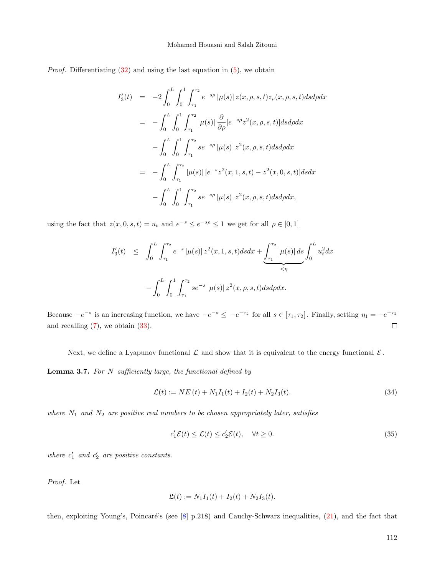*Proof.* Differentiating  $(32)$  and using the last equation in  $(5)$ , we obtain

$$
I_3'(t) = -2 \int_0^L \int_0^1 \int_{\tau_1}^{\tau_2} e^{-s\rho} |\mu(s)| z(x, \rho, s, t) z_{\rho}(x, \rho, s, t) ds d\rho dx
$$
  
\n
$$
= -\int_0^L \int_0^1 \int_{\tau_1}^{\tau_2} |\mu(s)| \frac{\partial}{\partial \rho} [e^{-s\rho} z^2(x, \rho, s, t)] ds d\rho dx
$$
  
\n
$$
- \int_0^L \int_0^1 \int_{\tau_1}^{\tau_2} s e^{-s\rho} |\mu(s)| z^2(x, \rho, s, t) ds d\rho dx
$$
  
\n
$$
= -\int_0^L \int_{\tau_1}^{\tau_2} |\mu(s)| [e^{-s} z^2(x, 1, s, t) - z^2(x, 0, s, t)] ds dx
$$
  
\n
$$
- \int_0^L \int_0^1 \int_{\tau_1}^{\tau_2} s e^{-s\rho} |\mu(s)| z^2(x, \rho, s, t) ds d\rho dx,
$$

using the fact that  $z(x, 0, s, t) = u_t$  and  $e^{-s} \le e^{-s\rho} \le 1$  we get for all  $\rho \in [0, 1]$ 

$$
I_3'(t) \leq \int_0^L \int_{\tau_1}^{\tau_2} e^{-s} |\mu(s)| z^2(x, 1, s, t) ds dx + \underbrace{\int_{\tau_1}^{\tau_2} |\mu(s)| ds}_{\leq \eta} \int_0^L u_t^2 dx
$$
  
- 
$$
\int_0^L \int_0^1 \int_{\tau_1}^{\tau_2} s e^{-s} |\mu(s)| z^2(x, \rho, s, t) ds d\rho dx.
$$

Because  $-e^{-s}$  is an increasing function, we have  $-e^{-s} \leq -e^{-\tau_2}$  for all  $s \in [\tau_1, \tau_2]$ . Finally, setting  $\eta_1 = -e^{-\tau_2}$ and recalling  $(7)$ , we obtain  $(33)$ .  $\Box$ 

Next, we define a Lyapunov functional  $\mathcal L$  and show that it is equivalent to the energy functional  $\mathcal E$ .

**Lemma 3.7.** For  $N$  sufficiently large, the functional defined by

<span id="page-11-1"></span>
$$
\mathcal{L}(t) := NE(t) + N_1 I_1(t) + I_2(t) + N_2 I_3(t). \tag{34}
$$

where  $N_1$  and  $N_2$  are positive real numbers to be chosen appropriately later, satisfies

<span id="page-11-0"></span>
$$
c'_1 \mathcal{E}(t) \le \mathcal{L}(t) \le c'_2 \mathcal{E}(t), \quad \forall t \ge 0.
$$
\n
$$
(35)
$$

where  $c'_1$  and  $c'_2$  are positive constants.

Proof. Let

$$
\mathfrak{L}(t) := N_1 I_1(t) + I_2(t) + N_2 I_3(t).
$$

then, exploiting Young's, Poincaré's (see  $[8]$  p.218) and Cauchy-Schwarz inequalities,  $(21)$ , and the fact that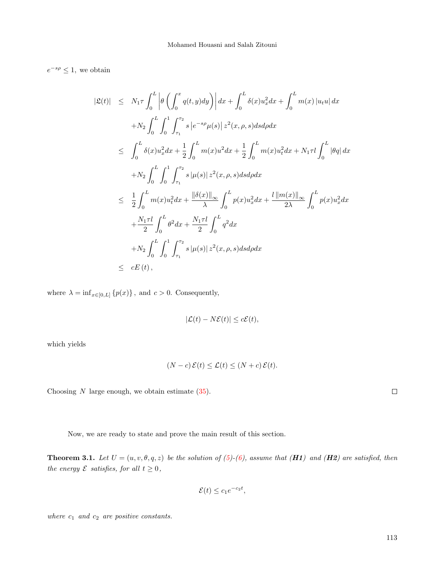$e^{-s\rho} \leq 1$ , we obtain

$$
\begin{split}\n|\mathfrak{L}(t)| &\leq N_{1}\tau \int_{0}^{L} \left| \theta \left( \int_{0}^{x} q(t,y) dy \right) \right| dx + \int_{0}^{L} \delta(x) u_{x}^{2} dx + \int_{0}^{L} m(x) \left| u_{t} u \right| dx \\
&\quad + N_{2} \int_{0}^{L} \int_{0}^{1} \int_{\tau_{1}}^{\tau_{2}} s \left| e^{-s\rho} \mu(s) \right| z^{2}(x,\rho,s) ds d\rho dx \\
&\leq \int_{0}^{L} \delta(x) u_{x}^{2} dx + \frac{1}{2} \int_{0}^{L} m(x) u^{2} dx + \frac{1}{2} \int_{0}^{L} m(x) u_{t}^{2} dx + N_{1}\tau l \int_{0}^{L} |\theta q| dx \\
&\quad + N_{2} \int_{0}^{L} \int_{0}^{1} \int_{\tau_{1}}^{\tau_{2}} s \left| \mu(s) \right| z^{2}(x,\rho,s) ds d\rho dx \\
&\leq \frac{1}{2} \int_{0}^{L} m(x) u_{t}^{2} dx + \frac{\left\| \delta(x) \right\|_{\infty}}{\lambda} \int_{0}^{L} p(x) u_{x}^{2} dx + \frac{l \left\| m(x) \right\|_{\infty}}{2\lambda} \int_{0}^{L} p(x) u_{x}^{2} dx \\
&\quad + \frac{N_{1}\tau l}{2} \int_{0}^{L} \theta^{2} dx + \frac{N_{1}\tau l}{2} \int_{0}^{L} q^{2} dx \\
&\quad + N_{2} \int_{0}^{L} \int_{0}^{1} \int_{\tau_{1}}^{\tau_{2}} s \left| \mu(s) \right| z^{2}(x,\rho,s) ds d\rho dx \\
&\leq cE(t),\n\end{split}
$$

where  $\lambda = \inf_{x \in [0, L]} \{p(x)\},\$  and  $c > 0$ . Consequently,

$$
|\mathcal{L}(t) - N\mathcal{E}(t)| \le c\mathcal{E}(t),
$$

which yields

$$
(N-c)\mathcal{E}(t) \le \mathcal{L}(t) \le (N+c)\mathcal{E}(t).
$$

Choosing  $N$  large enough, we obtain estimate  $(35)$ .

Now, we are ready to state and prove the main result of this section.

**Theorem 3.1.** Let  $U = (u, v, \theta, q, z)$  be the solution of [\(5\)](#page-2-0)-[\(6\)](#page-2-1), assume that (**H1**) and (**H2**) are satisfied, then the energy  $\mathcal E$  satisfies, for all  $t \geq 0$ ,

$$
\mathcal{E}(t) \le c_1 e^{-c_2 t},
$$

where  $c_1$  and  $c_2$  are positive constants.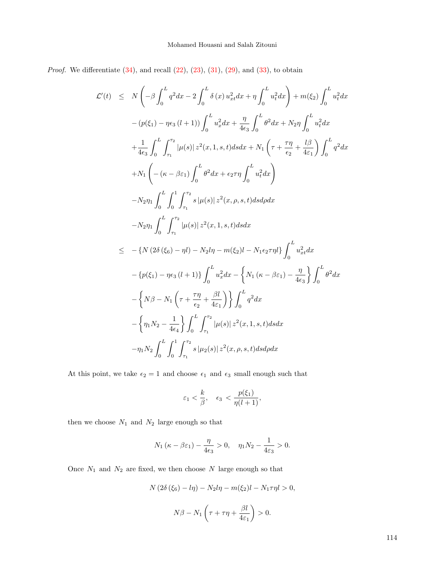*Proof.* We differentiate  $(34)$ , and recall  $(22)$ ,  $(23)$ ,  $(31)$ ,  $(29)$ , and  $(33)$ , to obtain

$$
\mathcal{L}'(t) \leq N \left( -\beta \int_0^L q^2 dx - 2 \int_0^L \delta(x) u_{xt}^2 dx + \eta \int_0^L u_t^2 dx \right) + m(\xi_2) \int_0^L u_t^2 dx
$$
  
\n
$$
- (p(\xi_1) - \eta \epsilon_3 (l+1)) \int_0^L u_x^2 dx + \frac{\eta}{4\epsilon_3} \int_0^L \theta^2 dx + N_2 \eta \int_0^L u_t^2 dx
$$
  
\n
$$
+ \frac{1}{4\epsilon_3} \int_0^L \int_{\tau_1}^{\tau_2} |\mu(s)| z^2(x, 1, s, t) ds dx + N_1 \left( \tau + \frac{\tau \eta}{\epsilon_2} + \frac{l\beta}{4\epsilon_1} \right) \int_0^L q^2 dx
$$
  
\n
$$
+ N_1 \left( -(\kappa - \beta \epsilon_1) \int_0^L \theta^2 dx + \epsilon_2 \tau \eta \int_0^L u_t^2 dx \right)
$$
  
\n
$$
- N_2 \eta_1 \int_0^L \int_0^1 \int_{\tau_1}^{\tau_2} s |\mu(s)| z^2(x, \rho, s, t) ds d\rho dx
$$
  
\n
$$
- N_2 \eta_1 \int_0^L \int_{\tau_1}^{\tau_2} |\mu(s)| z^2(x, 1, s, t) ds dx
$$
  
\n
$$
\leq - \{ N (2\delta(\xi_6) - \eta l) - N_2 l \eta - m(\xi_2) l - N_1 \epsilon_2 \tau \eta l \} \int_0^L u_{xt}^2 dx
$$
  
\n
$$
- \{ p(\xi_1) - \eta \epsilon_3 (l+1) \} \int_0^L u_x^2 dx - \left\{ N_1 (\kappa - \beta \epsilon_1) - \frac{\eta}{4\epsilon_3} \right\} \int_0^L \theta^2 dx
$$
  
\n
$$
- \left\{ N \beta - N_1 \left( \tau + \frac{\tau \eta}{\epsilon_2} + \frac{\beta l}{4\epsilon_1} \right) \right\} \int_0^L q^2 dx
$$
  
\n
$$
- \left\{ N \beta - N_1 \left( \tau + \frac{\tau \eta}{\epsilon_2} + \frac{\beta l}{4\epsilon_1
$$

At this point, we take  $\epsilon_2 = 1$  and choose  $\epsilon_1$  and  $\epsilon_3$  small enough such that

$$
\varepsilon_1 < \frac{k}{\beta}, \quad \epsilon_3 < \frac{p(\xi_1)}{\eta(l+1)},
$$

then we choose  $\,N_1\,$  and  $\,N_2\,$  large enough so that

$$
N_1(\kappa - \beta \varepsilon_1) - \frac{\eta}{4\epsilon_3} > 0, \quad \eta_1 N_2 - \frac{1}{4\epsilon_3} > 0.
$$

Once  $\sqrt{N_1}$  and  $\sqrt{N_2}$  are fixed, we then choose  $N$  large enough so that

$$
N(2\delta(\xi_6) - l\eta) - N_2l\eta - m(\xi_2)l - N_1\tau\eta l > 0,
$$
  

$$
N\beta - N_1\left(\tau + \tau\eta + \frac{\beta l}{4\varepsilon_1}\right) > 0.
$$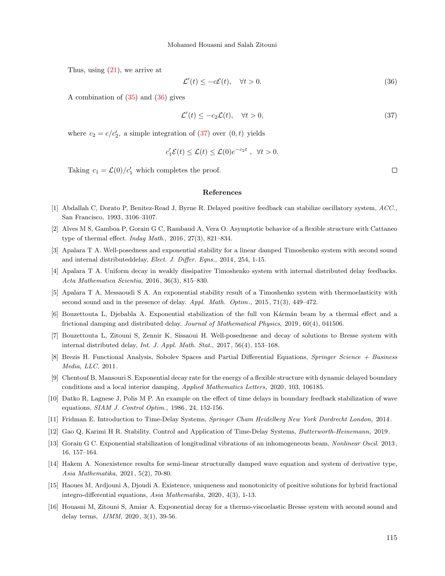Thus, using  $(21)$ , we arrive at

<span id="page-14-16"></span><span id="page-14-15"></span>
$$
\mathcal{L}'(t) \le -c\mathcal{E}(t), \quad \forall t > 0. \tag{36}
$$

A combination of [\(35\)](#page-11-0) and [\(36\)](#page-14-15) gives

$$
\mathcal{L}'(t) \le -c_2 \mathcal{L}(t), \quad \forall t > 0,
$$
\n
$$
(37)
$$

where  $c_2 = c/c'_2$ , a simple integration of [\(37\)](#page-14-16) over  $(0, t)$  yields

$$
c'_1 \mathcal{E}(t) \le \mathcal{L}(t) \le \mathcal{L}(0)e^{-c_2 t}, \ \ \forall t > 0.
$$

Taking  $c_1 = \mathcal{L}(0)/c'_1$  which completes the proof.

#### References

- <span id="page-14-12"></span>[1] Abdallah C, Dorato P, Benitez-Read J, Byrne R. Delayed positive feedback can stabilize oscillatory system, ACC., San Francisco, 1993, 3106–3107.
- <span id="page-14-0"></span>[2] Alves M S, Gamboa P, Gorain G C, Rambaud A, Vera O. Asymptotic behavior of a flexible structure with Cattaneo type of thermal effect. Indag Math., 2016, 27(3), 821–834.
- <span id="page-14-4"></span>[3] Apalara T A. Well-posedness and exponential stability for a linear damped Timoshenko system with second sound and internal distributeddelay, Elect. J. Differ. Eqns., 2014, 254, 1-15.
- <span id="page-14-5"></span>[4] Apalara T A. Uniform decay in weakly dissipative Timoshenko system with internal distributed delay feedbacks. Acta Mathematica Scientia, 2016, 36(3), 815–830.
- <span id="page-14-13"></span>[5] Apalara T A, Messaoudi S A. An exponential stability result of a Timoshenko system with thermoelasticity with second sound and in the presence of delay. Appl. Math. Optim., 2015, 71(3), 449–472.
- <span id="page-14-6"></span>[6] Bouzettouta L, Djebabla A. Exponential stabilization of the full von K´arm´an beam by a thermal effect and a frictional damping and distributed delay. Journal of Mathematical Physics, 2019, 60(4), 041506.
- <span id="page-14-7"></span>[7] Bouzettouta L, Zitouni S, Zennir K, Sissaoui H. Well-posednesse and decay of solutions to Bresse system with internal distributed delay, Int. J. Appl. Math. Stat., 2017, 56(4), 153–168.
- <span id="page-14-14"></span>[8] Brezis H. Functional Analysis, Sobolev Spaces and Partial Differential Equations, Springer Science + Business Media, LLC, 2011.
- <span id="page-14-1"></span>[9] Chentouf B, Mansouri S. Exponential decay rate for the energy of a flexible structure with dynamic delayed boundary conditions and a local interior damping, Applied Mathematics Letters, 2020, 103, 106185.
- <span id="page-14-11"></span>[10] Datko R, Lagnese J, Polis M P. An example on the effect of time delays in boundary feedback stabilization of wave equations, SIAM J. Control Optim., 1986, 24, 152-156.
- <span id="page-14-8"></span>[11] Fridman E. Introduction to Time-Delay Systems, Springer Cham Heidelberg New York Dordrecht London, 2014.
- <span id="page-14-9"></span>[12] Gao Q, Karimi H R. Stability, Control and Application of Time-Delay Systems, Butterworth-Heinemann, 2019.
- <span id="page-14-2"></span>[13] Gorain G C. Exponential stabilization of longitudinal vibrations of an inhomogeneous beam, Nonlinear Oscil. 2013, 16, 157–164.
- [14] Hakem A. Nonexistence results for semi-linear structurally damped wave equation and system of derivative type, Asia Mathematika, 2021, 5(2), 70-80.
- <span id="page-14-3"></span>[15] Haoues M, Ardjouni A, Djoudi A. Existence, uniqueness and monotonicity of positive solutions for hybrid fractional integro-differential equations, Asia Mathematika, 2020, 4(3), 1-13.
- <span id="page-14-10"></span>[16] Houasni M, Zitouni S, Amiar A. Exponential decay for a thermo-viscoelastic Bresse system with second sound and delay terms, IJMM, 2020, 3(1), 39-56.